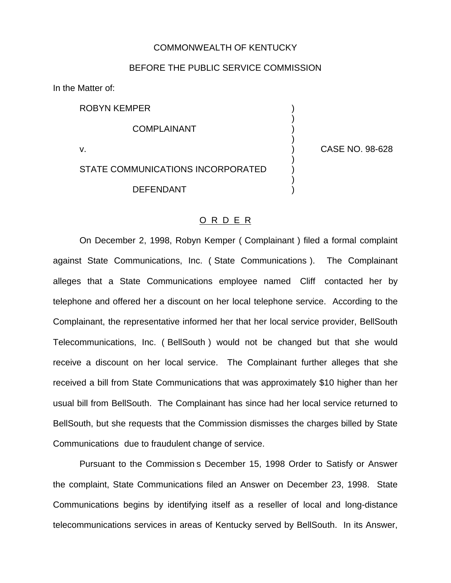## COMMONWEALTH OF KENTUCKY

## BEFORE THE PUBLIC SERVICE COMMISSION

In the Matter of:

ROBYN KEMPER )

**COMPLAINANT** 

STATE COMMUNICATIONS INCORPORATED **DEFENDANT** 

v. ) CASE NO. 98-628

)

)

)

)

## O R D E R

On December 2, 1998, Robyn Kemper ( Complainant ) filed a formal complaint against State Communications, Inc. ( State Communications ). The Complainant alleges that a State Communications employee named Cliff contacted her by telephone and offered her a discount on her local telephone service. According to the Complainant, the representative informed her that her local service provider, BellSouth Telecommunications, Inc. ( BellSouth ) would not be changed but that she would receive a discount on her local service. The Complainant further alleges that she received a bill from State Communications that was approximately \$10 higher than her usual bill from BellSouth. The Complainant has since had her local service returned to BellSouth, but she requests that the Commission dismisses the charges billed by State Communications due to fraudulent change of service.

Pursuant to the Commission s December 15, 1998 Order to Satisfy or Answer the complaint, State Communications filed an Answer on December 23, 1998. State Communications begins by identifying itself as a reseller of local and long-distance telecommunications services in areas of Kentucky served by BellSouth. In its Answer,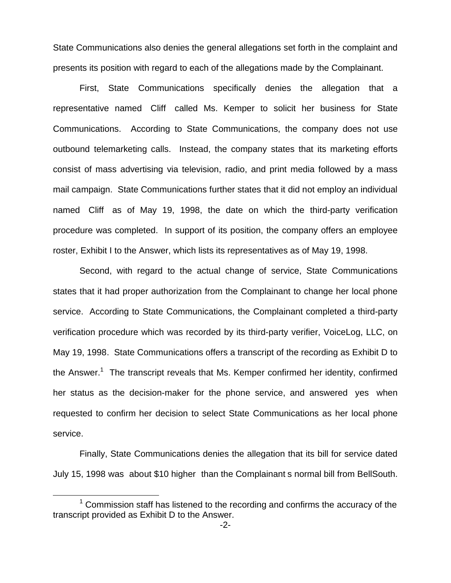State Communications also denies the general allegations set forth in the complaint and presents its position with regard to each of the allegations made by the Complainant.

First, State Communications specifically denies the allegation that a representative named Cliff called Ms. Kemper to solicit her business for State Communications. According to State Communications, the company does not use outbound telemarketing calls. Instead, the company states that its marketing efforts consist of mass advertising via television, radio, and print media followed by a mass mail campaign. State Communications further states that it did not employ an individual named Cliff as of May 19, 1998, the date on which the third-party verification procedure was completed. In support of its position, the company offers an employee roster, Exhibit I to the Answer, which lists its representatives as of May 19, 1998.

Second, with regard to the actual change of service, State Communications states that it had proper authorization from the Complainant to change her local phone service. According to State Communications, the Complainant completed a third-party verification procedure which was recorded by its third-party verifier, VoiceLog, LLC, on May 19, 1998. State Communications offers a transcript of the recording as Exhibit D to the Answer.<sup>1</sup> The transcript reveals that Ms. Kemper confirmed her identity, confirmed her status as the decision-maker for the phone service, and answered yes when requested to confirm her decision to select State Communications as her local phone service.

Finally, State Communications denies the allegation that its bill for service dated July 15, 1998 was about \$10 higher than the Complainant s normal bill from BellSouth.

 $1$  Commission staff has listened to the recording and confirms the accuracy of the transcript provided as Exhibit D to the Answer.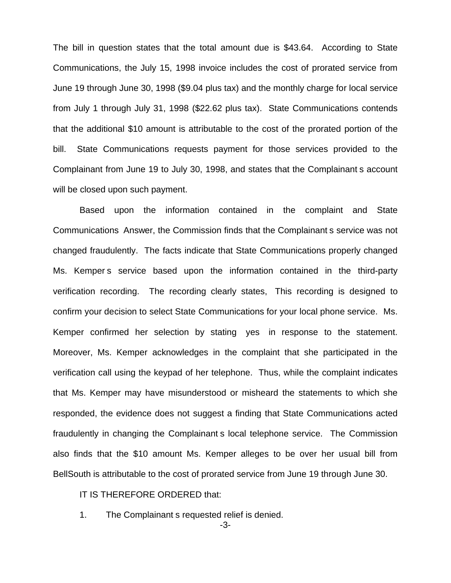The bill in question states that the total amount due is \$43.64. According to State Communications, the July 15, 1998 invoice includes the cost of prorated service from June 19 through June 30, 1998 (\$9.04 plus tax) and the monthly charge for local service from July 1 through July 31, 1998 (\$22.62 plus tax). State Communications contends that the additional \$10 amount is attributable to the cost of the prorated portion of the bill. State Communications requests payment for those services provided to the Complainant from June 19 to July 30, 1998, and states that the Complainant s account will be closed upon such payment.

Based upon the information contained in the complaint and State Communications Answer, the Commission finds that the Complainant s service was not changed fraudulently. The facts indicate that State Communications properly changed Ms. Kemper s service based upon the information contained in the third-party verification recording. The recording clearly states, This recording is designed to confirm your decision to select State Communications for your local phone service. Ms. Kemper confirmed her selection by stating yes in response to the statement. Moreover, Ms. Kemper acknowledges in the complaint that she participated in the verification call using the keypad of her telephone. Thus, while the complaint indicates that Ms. Kemper may have misunderstood or misheard the statements to which she responded, the evidence does not suggest a finding that State Communications acted fraudulently in changing the Complainant s local telephone service. The Commission also finds that the \$10 amount Ms. Kemper alleges to be over her usual bill from BellSouth is attributable to the cost of prorated service from June 19 through June 30.

## IT IS THEREFORE ORDERED that:

1. The Complainant s requested relief is denied.

-3-